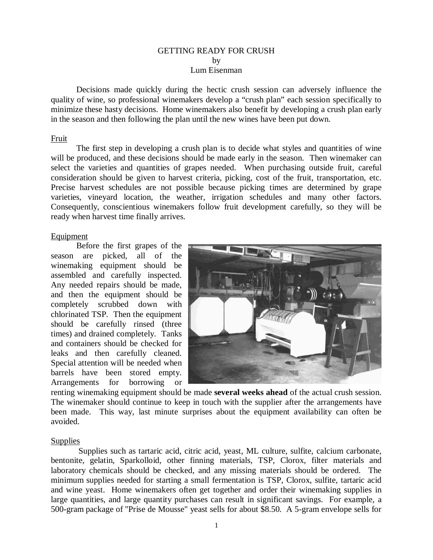### GETTING READY FOR CRUSH by Lum Eisenman

Decisions made quickly during the hectic crush session can adversely influence the quality of wine, so professional winemakers develop a "crush plan" each session specifically to minimize these hasty decisions. Home winemakers also benefit by developing a crush plan early in the season and then following the plan until the new wines have been put down.

#### Fruit

The first step in developing a crush plan is to decide what styles and quantities of wine will be produced, and these decisions should be made early in the season. Then winemaker can select the varieties and quantities of grapes needed. When purchasing outside fruit, careful consideration should be given to harvest criteria, picking, cost of the fruit, transportation, etc. Precise harvest schedules are not possible because picking times are determined by grape varieties, vineyard location, the weather, irrigation schedules and many other factors. Consequently, conscientious winemakers follow fruit development carefully, so they will be ready when harvest time finally arrives.

#### Equipment

Before the first grapes of the season are picked, all of the winemaking equipment should be assembled and carefully inspected. Any needed repairs should be made, and then the equipment should be completely scrubbed down with chlorinated TSP. Then the equipment should be carefully rinsed (three times) and drained completely. Tanks and containers should be checked for leaks and then carefully cleaned. Special attention will be needed when barrels have been stored empty. Arrangements for borrowing or



renting winemaking equipment should be made **several weeks ahead** of the actual crush session. The winemaker should continue to keep in touch with the supplier after the arrangements have been made. This way, last minute surprises about the equipment availability can often be avoided.

### Supplies

 Supplies such as tartaric acid, citric acid, yeast, ML culture, sulfite, calcium carbonate, bentonite, gelatin, Sparkolloid, other finning materials, TSP, Clorox, filter materials and laboratory chemicals should be checked, and any missing materials should be ordered. The minimum supplies needed for starting a small fermentation is TSP, Clorox, sulfite, tartaric acid and wine yeast. Home winemakers often get together and order their winemaking supplies in large quantities, and large quantity purchases can result in significant savings. For example, a 500-gram package of "Prise de Mousse" yeast sells for about \$8.50. A 5-gram envelope sells for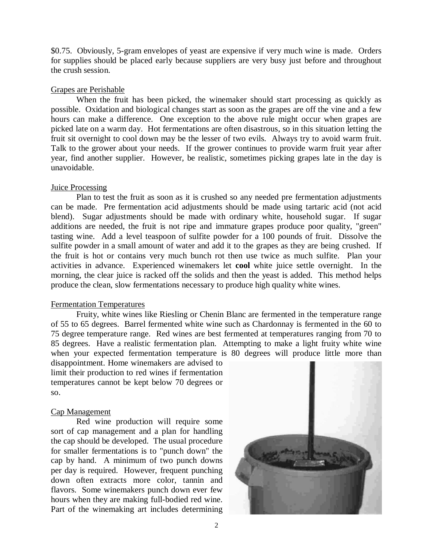\$0.75. Obviously, 5-gram envelopes of yeast are expensive if very much wine is made. Orders for supplies should be placed early because suppliers are very busy just before and throughout the crush session.

## Grapes are Perishable

When the fruit has been picked, the winemaker should start processing as quickly as possible. Oxidation and biological changes start as soon as the grapes are off the vine and a few hours can make a difference. One exception to the above rule might occur when grapes are picked late on a warm day. Hot fermentations are often disastrous, so in this situation letting the fruit sit overnight to cool down may be the lesser of two evils. Always try to avoid warm fruit. Talk to the grower about your needs. If the grower continues to provide warm fruit year after year, find another supplier. However, be realistic, sometimes picking grapes late in the day is unavoidable.

### Juice Processing

Plan to test the fruit as soon as it is crushed so any needed pre fermentation adjustments can be made. Pre fermentation acid adjustments should be made using tartaric acid (not acid blend). Sugar adjustments should be made with ordinary white, household sugar. If sugar additions are needed, the fruit is not ripe and immature grapes produce poor quality, "green" tasting wine. Add a level teaspoon of sulfite powder for a 100 pounds of fruit. Dissolve the sulfite powder in a small amount of water and add it to the grapes as they are being crushed. If the fruit is hot or contains very much bunch rot then use twice as much sulfite. Plan your activities in advance. Experienced winemakers let **cool** white juice settle overnight. In the morning, the clear juice is racked off the solids and then the yeast is added. This method helps produce the clean, slow fermentations necessary to produce high quality white wines.

### Fermentation Temperatures

Fruity, white wines like Riesling or Chenin Blanc are fermented in the temperature range of 55 to 65 degrees. Barrel fermented white wine such as Chardonnay is fermented in the 60 to 75 degree temperature range. Red wines are best fermented at temperatures ranging from 70 to 85 degrees. Have a realistic fermentation plan. Attempting to make a light fruity white wine when your expected fermentation temperature is 80 degrees will produce little more than

disappointment. Home winemakers are advised to limit their production to red wines if fermentation temperatures cannot be kept below 70 degrees or so.

# Cap Management

Red wine production will require some sort of cap management and a plan for handling the cap should be developed. The usual procedure for smaller fermentations is to "punch down" the cap by hand. A minimum of two punch downs per day is required. However, frequent punching down often extracts more color, tannin and flavors. Some winemakers punch down ever few hours when they are making full-bodied red wine. Part of the winemaking art includes determining